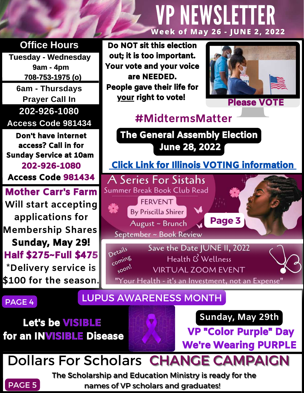#### **Office Hours**

**Tuesday - Wednesday 9am - 4pm 708-753-1975 (o) 6am - Thursdays Prayer Call In 202-926-1080 Access Code 981434**

Don't have internet access? Call in for Sunday Service at 10am 202-926-1080 Access Code 981434

Mother Carr's Farm **Will start accepting applications for Membership Shares**  Sunday, May 29! Half \$275~Full \$475 **\*Delivery service is \$100 for the season.** 

#### Do NOT sit this election out; it is too important. Your vote and your voice are NEEDED. People gave their life for your right to vote! Please VOTE



#### **#MidtermsMatter**

VPNEWSLETTER

**Week of May 26 - JUNE 2, 2022**



### PAGE 4 LUPUS AWARENESS MONTH

Let's be VISIBLE for an INVISIBLE Disease



VP "Color Purple" Day We're Wearing PURPLE

### Dollars For Scholars CHANGE CAMPAIGN



The Scholarship and Education Ministry is ready for the names of VP scholars and graduates!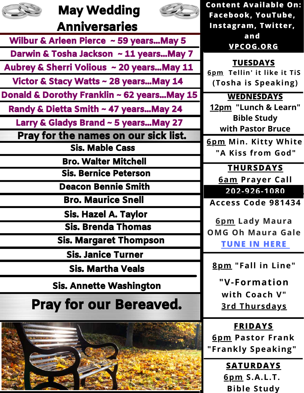| <b>May Wedding</b>                          | <b>Content Available On:</b>                      |
|---------------------------------------------|---------------------------------------------------|
| <b>Anniversaries</b>                        | Facebook, YouTube,<br>Instagram, Twitter,         |
|                                             | and                                               |
| Wilbur & Arleen Pierce ~ 59 years May 5     | VPCOG.ORG                                         |
| Darwin & Tosha Jackson ~ 11 years May 7     |                                                   |
| Aubrey & Sherri Volious ~ 20 years May 11   | <b>TUESDAYS</b><br>6pm Tellin' it like it TiS     |
| Victor & Stacy Watts ~ 28 years May 14      | (Tosha is Speaking)                               |
| Donald & Dorothy Franklin ~ 62 years May 15 | <b>WEDNESDAYS</b>                                 |
| Randy & Dietta Smith ~ 47 years May 24      | 12pm "Lunch & Learn"                              |
| Larry & Gladys Brand ~ 5 years May 27       | <b>Bible Study</b>                                |
| Pray for the names on our sick list.        | with Pastor Bruce                                 |
| <b>Sis. Mable Cass</b>                      | 6pm Min. Kitty White<br>"A Kiss from God"         |
| <b>Bro. Walter Mitchell</b>                 |                                                   |
| <b>Sis. Bernice Peterson</b>                | <b>THURSDAYS</b>                                  |
| <b>Deacon Bennie Smith</b>                  | <b>6am Prayer Call</b><br>202-926-1080            |
| <b>Bro. Maurice Snell</b>                   | Access Code 981434                                |
| <b>Sis. Hazel A. Taylor</b>                 |                                                   |
| <b>Sis. Brenda Thomas</b>                   | <b>6pm Lady Maura</b><br><b>OMG Oh Maura Gale</b> |
| <b>Sis. Margaret Thompson</b>               | <b>TUNE IN HERE</b>                               |
| <b>Sis. Janice Turner</b>                   |                                                   |
| <b>Sis. Martha Veals</b>                    | 8pm "Fall in Line"                                |
| <b>Sis. Annette Washington</b>              | "V-Formation                                      |
|                                             | with Coach V"                                     |
| <b>Pray for our Bereaved.</b>               | <u>3rd Thursdays</u>                              |



**SATURDAYS 6pm S.A.L.T. Bible Study**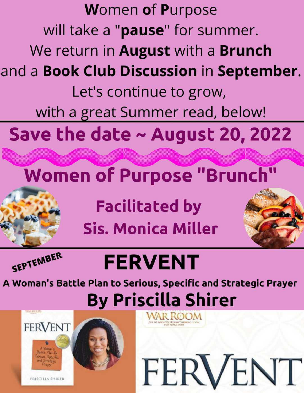

**Sis. Monica Miller** 



# **FERVENT**

A Woman's Battle Plan to Serious, Specific and Strategic Prayer **By Priscilla Shirer** 

FERVENT

**FERVENT** 

PRISCILLA SHIRER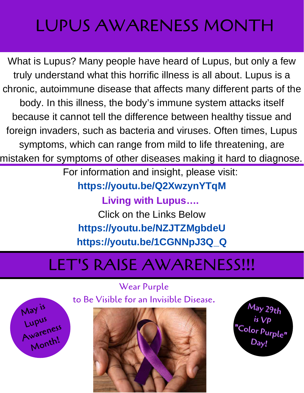## LUPUS AWARENESS MONTH

What is Lupus? Many people have heard of Lupus, but only a few truly understand what this horrific illness is all about. Lupus is a chronic, autoimmune disease that affects many different parts of the body. In this illness, the body's immune system attacks itself because it cannot tell the difference between healthy tissue and foreign invaders, such as bacteria and viruses. Often times, Lupus symptoms, which can range from mild to life threatening, are mistaken for symptoms of other diseases making it hard to diagnose.

For information and insight, please visit:

**https://youtu.be/Q2XwzynYTqM**

**Living with Lupus….**  Click on the Links Below **<https://youtu.be/NZJTZMgbdeU> [https://youtu.be/1CGNNpJ3Q\\_Q](https://youtu.be/1CGNNpJ3Q_Q)**

### LET'S RAISE AWARENESS!!!

Wear Purple to Be Visible for an Invisible Disease.

May is

Lupus

Awareness

Month!